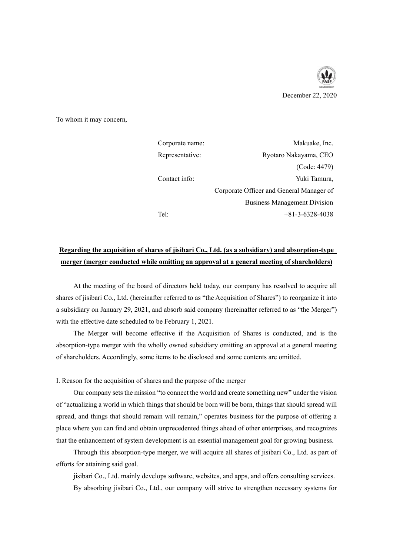

To whom it may concern,

| Corporate name: | Makuake, Inc.                            |
|-----------------|------------------------------------------|
| Representative: | Ryotaro Nakayama, CEO                    |
|                 | (Code: 4479)                             |
| Contact info:   | Yuki Tamura,                             |
|                 | Corporate Officer and General Manager of |
|                 | <b>Business Management Division</b>      |
| Tel:            | $+81-3-6328-4038$                        |

# **Regarding the acquisition of shares of jisibari Co., Ltd. (as a subsidiary) and absorption-type merger (merger conducted while omitting an approval at a general meeting of shareholders)**

At the meeting of the board of directors held today, our company has resolved to acquire all shares of jisibari Co., Ltd. (hereinafter referred to as "the Acquisition of Shares") to reorganize it into a subsidiary on January 29, 2021, and absorb said company (hereinafter referred to as "the Merger") with the effective date scheduled to be February 1, 2021.

The Merger will become effective if the Acquisition of Shares is conducted, and is the absorption-type merger with the wholly owned subsidiary omitting an approval at a general meeting of shareholders. Accordingly, some items to be disclosed and some contents are omitted.

I. Reason for the acquisition of shares and the purpose of the merger

Our company sets the mission "to connect the world and create something new" under the vision of "actualizing a world in which things that should be born will be born, things that should spread will spread, and things that should remain will remain," operates business for the purpose of offering a place where you can find and obtain unprecedented things ahead of other enterprises, and recognizes that the enhancement of system development is an essential management goal for growing business.

Through this absorption-type merger, we will acquire all shares of jisibari Co., Ltd. as part of efforts for attaining said goal.

jisibari Co., Ltd. mainly develops software, websites, and apps, and offers consulting services. By absorbing jisibari Co., Ltd., our company will strive to strengthen necessary systems for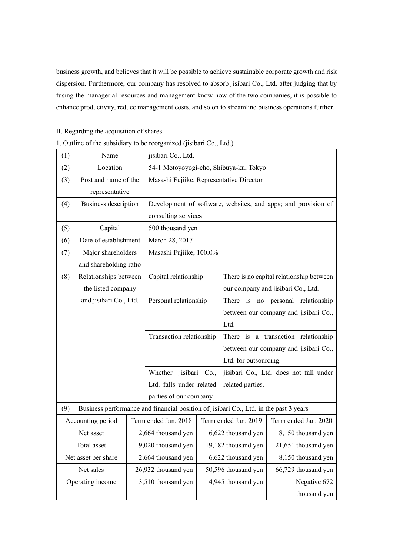business growth, and believes that it will be possible to achieve sustainable corporate growth and risk dispersion. Furthermore, our company has resolved to absorb jisibari Co., Ltd. after judging that by fusing the managerial resources and management know-how of the two companies, it is possible to enhance productivity, reduce management costs, and so on to streamline business operations further.

|  |  | II. Regarding the acquisition of shares |  |
|--|--|-----------------------------------------|--|
|--|--|-----------------------------------------|--|

| 1. Outline of the subsidiary to be reorganized (jisibari Co., Ltd.) |  |  |
|---------------------------------------------------------------------|--|--|
|                                                                     |  |  |

| (1) | Name                   |  | jisibari Co., Ltd.                                                                    |                                       |                                       |                      |  |
|-----|------------------------|--|---------------------------------------------------------------------------------------|---------------------------------------|---------------------------------------|----------------------|--|
| (2) | Location               |  | 54-1 Motoyoyogi-cho, Shibuya-ku, Tokyo                                                |                                       |                                       |                      |  |
| (3) | Post and name of the   |  | Masashi Fujiike, Representative Director                                              |                                       |                                       |                      |  |
|     | representative         |  |                                                                                       |                                       |                                       |                      |  |
| (4) | Business description   |  | Development of software, websites, and apps; and provision of                         |                                       |                                       |                      |  |
|     |                        |  | consulting services                                                                   |                                       |                                       |                      |  |
| (5) | Capital                |  | 500 thousand yen                                                                      |                                       |                                       |                      |  |
| (6) | Date of establishment  |  | March 28, 2017                                                                        |                                       |                                       |                      |  |
| (7) | Major shareholders     |  | Masashi Fujiike; 100.0%                                                               |                                       |                                       |                      |  |
|     | and shareholding ratio |  |                                                                                       |                                       |                                       |                      |  |
| (8) | Relationships between  |  | Capital relationship<br>There is no capital relationship between                      |                                       |                                       |                      |  |
|     | the listed company     |  |                                                                                       |                                       | our company and jisibari Co., Ltd.    |                      |  |
|     | and jisibari Co., Ltd. |  | Personal relationship                                                                 |                                       | There is no personal relationship     |                      |  |
|     |                        |  |                                                                                       | between our company and jisibari Co., |                                       |                      |  |
|     |                        |  |                                                                                       | Ltd.                                  |                                       |                      |  |
|     |                        |  | Transaction relationship                                                              |                                       | There is a transaction relationship   |                      |  |
|     |                        |  |                                                                                       |                                       | between our company and jisibari Co., |                      |  |
|     |                        |  |                                                                                       |                                       | Ltd. for outsourcing.                 |                      |  |
|     |                        |  | Whether jisibari Co.,<br>jisibari Co., Ltd. does not fall under                       |                                       |                                       |                      |  |
|     |                        |  | Ltd. falls under related                                                              |                                       | related parties.                      |                      |  |
|     |                        |  | parties of our company                                                                |                                       |                                       |                      |  |
| (9) |                        |  | Business performance and financial position of jisibari Co., Ltd. in the past 3 years |                                       |                                       |                      |  |
|     | Accounting period      |  | Term ended Jan. 2018                                                                  |                                       | Term ended Jan. 2019                  | Term ended Jan. 2020 |  |
|     | Net asset              |  | 2,664 thousand yen                                                                    |                                       | 6,622 thousand yen                    | 8,150 thousand yen   |  |
|     | Total asset            |  | 9,020 thousand yen                                                                    |                                       | 19,182 thousand yen                   | 21,651 thousand yen  |  |
|     | Net asset per share    |  | 2,664 thousand yen                                                                    |                                       | 6,622 thousand yen                    | 8,150 thousand yen   |  |
|     | Net sales              |  | 26,932 thousand yen                                                                   |                                       | 50,596 thousand yen                   | 66,729 thousand yen  |  |
|     | Operating income       |  | 3,510 thousand yen                                                                    |                                       | 4,945 thousand yen                    | Negative 672         |  |
|     |                        |  |                                                                                       |                                       |                                       | thousand yen         |  |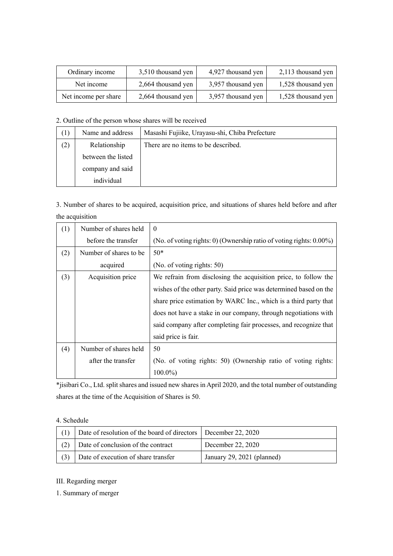| Ordinary income      | 3,510 thousand yen | 4,927 thousand yen | 2,113 thousand yen |
|----------------------|--------------------|--------------------|--------------------|
| Net income           | 2,664 thousand yen | 3,957 thousand yen | 1,528 thousand yen |
| Net income per share | 2,664 thousand yen | 3,957 thousand yen | 1,528 thousand yen |

## 2. Outline of the person whose shares will be received

| (1) | Name and address   | Masashi Fujiike, Urayasu-shi, Chiba Prefecture |
|-----|--------------------|------------------------------------------------|
| (2) | Relationship       | There are no items to be described.            |
|     | between the listed |                                                |
|     | company and said   |                                                |
|     | individual         |                                                |

3. Number of shares to be acquired, acquisition price, and situations of shares held before and after the acquisition

| (1) | Number of shares held   | $\Omega$                                                                |
|-----|-------------------------|-------------------------------------------------------------------------|
|     | before the transfer     | (No. of voting rights: 0) (Ownership ratio of voting rights: $0.00\%$ ) |
| (2) | Number of shares to be. | $50*$                                                                   |
|     | acquired                | (No. of voting rights: 50)                                              |
| (3) | Acquisition price       | We refrain from disclosing the acquisition price, to follow the         |
|     |                         | wishes of the other party. Said price was determined based on the       |
|     |                         | share price estimation by WARC Inc., which is a third party that        |
|     |                         | does not have a stake in our company, through negotiations with         |
|     |                         | said company after completing fair processes, and recognize that        |
|     |                         | said price is fair.                                                     |
| (4) | Number of shares held   | 50                                                                      |
|     | after the transfer      | (No. of voting rights: 50) (Ownership ratio of voting rights:           |
|     |                         | $100.0\%$                                                               |

\*jisibari Co., Ltd. split shares and issued new shares in April 2020, and the total number of outstanding shares at the time of the Acquisition of Shares is 50.

### 4. Schedule

| Date of resolution of the board of directors   December 22, 2020 |                            |
|------------------------------------------------------------------|----------------------------|
| Date of conclusion of the contract                               | December 22, 2020          |
| Date of execution of share transfer                              | January 29, 2021 (planned) |

## III. Regarding merger

1. Summary of merger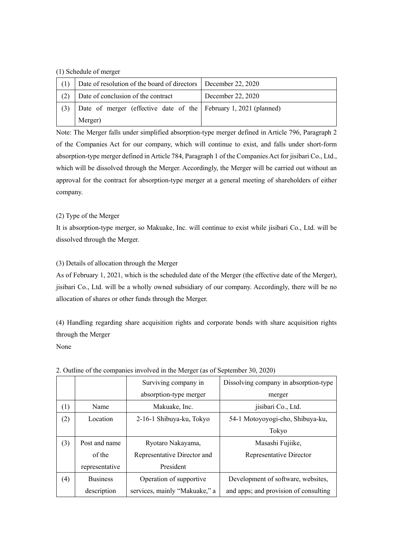#### (1) Schedule of merger

|     | Date of resolution of the board of directors   December 22, 2020 |                   |
|-----|------------------------------------------------------------------|-------------------|
| (2) | Date of conclusion of the contract                               | December 22, 2020 |
| (3) | Date of merger (effective date of the February 1, 2021 (planned) |                   |
|     | Merger)                                                          |                   |

Note: The Merger falls under simplified absorption-type merger defined in Article 796, Paragraph 2 of the Companies Act for our company, which will continue to exist, and falls under short-form absorption-type merger defined in Article 784, Paragraph 1 of the Companies Act for jisibari Co., Ltd., which will be dissolved through the Merger. Accordingly, the Merger will be carried out without an approval for the contract for absorption-type merger at a general meeting of shareholders of either company.

## (2) Type of the Merger

It is absorption-type merger, so Makuake, Inc. will continue to exist while jisibari Co., Ltd. will be dissolved through the Merger.

## (3) Details of allocation through the Merger

As of February 1, 2021, which is the scheduled date of the Merger (the effective date of the Merger), jisibari Co., Ltd. will be a wholly owned subsidiary of our company. Accordingly, there will be no allocation of shares or other funds through the Merger.

(4) Handling regarding share acquisition rights and corporate bonds with share acquisition rights through the Merger None

Surviving company in absorption-type merger Dissolving company in absorption-type merger (1) Name | Makuake, Inc. | jisibari Co., Ltd. (2) Location 2-16-1 Shibuya-ku, Tokyo 54-1 Motoyoyogi-cho, Shibuya-ku, Tokyo (3) Post and name of the representative Ryotaro Nakayama, Representative Director and President Masashi Fujiike, Representative Director (4) Business description Operation of supportive services, mainly "Makuake," a Development of software, websites, and apps; and provision of consulting

| 2. Outline of the companies involved in the Merger (as of September 30, 2020) |  |  |  |  |  |  |  |  |  |
|-------------------------------------------------------------------------------|--|--|--|--|--|--|--|--|--|
|-------------------------------------------------------------------------------|--|--|--|--|--|--|--|--|--|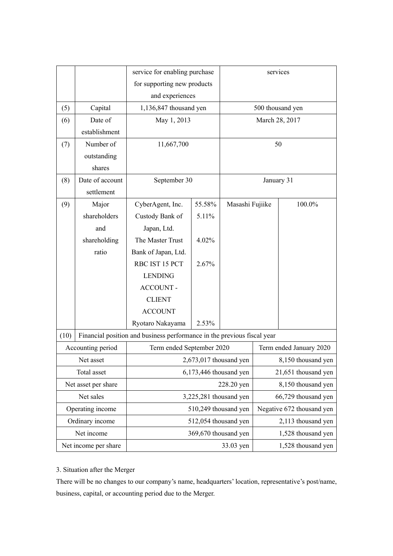|      |                      | service for enabling purchase                                           |        |                      | services                |                           |
|------|----------------------|-------------------------------------------------------------------------|--------|----------------------|-------------------------|---------------------------|
|      |                      | for supporting new products                                             |        |                      |                         |                           |
|      |                      | and experiences                                                         |        |                      |                         |                           |
| (5)  | Capital              | 1,136,847 thousand yen                                                  |        |                      |                         | 500 thousand yen          |
| (6)  | Date of              | May 1, 2013                                                             |        |                      |                         | March 28, 2017            |
|      | establishment        |                                                                         |        |                      |                         |                           |
| (7)  | Number of            | 11,667,700                                                              |        |                      |                         | 50                        |
|      | outstanding          |                                                                         |        |                      |                         |                           |
|      | shares               |                                                                         |        |                      |                         |                           |
| (8)  | Date of account      | September 30                                                            |        |                      |                         | January 31                |
|      | settlement           |                                                                         |        |                      |                         |                           |
| (9)  | Major                | CyberAgent, Inc.                                                        | 55.58% | Masashi Fujiike      |                         | $100.0\%$                 |
|      | shareholders         | Custody Bank of                                                         | 5.11%  |                      |                         |                           |
|      | and                  | Japan, Ltd.                                                             |        |                      |                         |                           |
|      | shareholding         | The Master Trust                                                        | 4.02%  |                      |                         |                           |
|      | ratio                | Bank of Japan, Ltd.                                                     |        |                      |                         |                           |
|      |                      | RBC IST 15 PCT                                                          | 2.67%  |                      |                         |                           |
|      |                      | <b>LENDING</b>                                                          |        |                      |                         |                           |
|      |                      | <b>ACCOUNT -</b>                                                        |        |                      |                         |                           |
|      |                      | <b>CLIENT</b>                                                           |        |                      |                         |                           |
|      |                      | <b>ACCOUNT</b>                                                          |        |                      |                         |                           |
|      |                      | Ryotaro Nakayama                                                        | 2.53%  |                      |                         |                           |
| (10) |                      | Financial position and business performance in the previous fiscal year |        |                      |                         |                           |
|      | Accounting period    | Term ended September 2020                                               |        |                      | Term ended January 2020 |                           |
|      | Net asset            | $2,673,017$ thousand yen                                                |        |                      |                         | 8,150 thousand yen        |
|      | Total asset          | $6,173,446$ thousand yen                                                |        |                      | 21,651 thousand yen     |                           |
|      | Net asset per share  | 228.20 yen                                                              |        |                      |                         | 8,150 thousand yen        |
|      | Net sales            | 3,225,281 thousand yen                                                  |        |                      |                         | 66,729 thousand yen       |
|      | Operating income     |                                                                         |        | 510,249 thousand yen |                         | Negative 672 thousand yen |
|      | Ordinary income      |                                                                         |        | 512,054 thousand yen |                         | 2,113 thousand yen        |
|      | Net income           |                                                                         |        | 369,670 thousand yen |                         | 1,528 thousand yen        |
|      | Net income per share |                                                                         |        | 33.03 yen            |                         | 1,528 thousand yen        |

# 3. Situation after the Merger

There will be no changes to our company's name, headquarters' location, representative's post/name, business, capital, or accounting period due to the Merger.